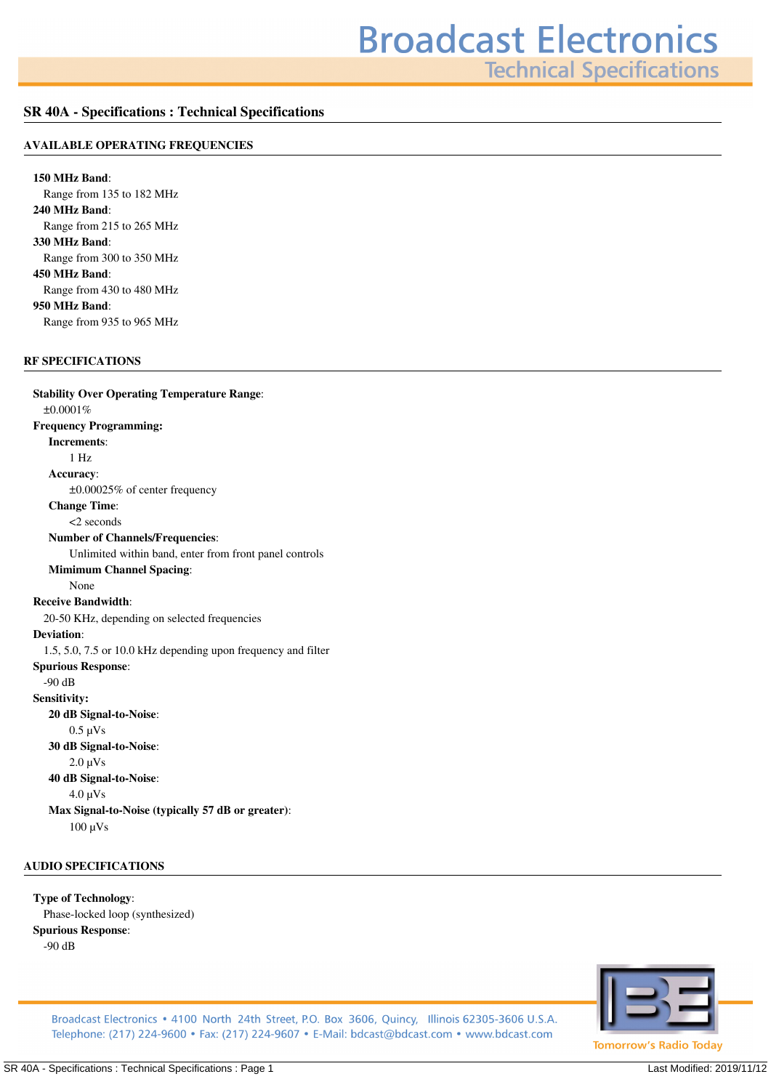**Technical Specifications** 

## **SR 40A - Specifications : Technical Specifications**

## **AVAILABLE OPERATING FREQUENCIES**

**150 MHz Band***: Range from 135 to 182 MHz* **240 MHz Band***: Range from 215 to 265 MHz* **330 MHz Band***: Range from 300 to 350 MHz* **450 MHz Band***: Range from 430 to 480 MHz* **950 MHz Band***: Range from 935 to 965 MHz*

## **RF SPECIFICATIONS**

**Stability Over Operating Temperature Range***: ±0.0001%* **Frequency Programming: Increments***: 1 Hz* **Accuracy***: ±0.00025% of center frequency* **Change Time***: <2 seconds* **Number of Channels/Frequencies***: Unlimited within band, enter from front panel controls* **Mimimum Channel Spacing***: None* **Receive Bandwidth***: 20-50 KHz, depending on selected frequencies* **Deviation***: 1.5, 5.0, 7.5 or 10.0 kHz depending upon frequency and filter* **Spurious Response***: -90 dB* **Sensitivity: 20 dB Signal-to-Noise***: 0.5 µVs* **30 dB Signal-to-Noise***: 2.0 µVs* **40 dB Signal-to-Noise***: 4.0 µVs* **Max Signal-to-Noise (typically 57 dB or greater)***: 100 µVs*

## **AUDIO SPECIFICATIONS**

**Type of Technology***: Phase-locked loop (synthesized)* **Spurious Response***: -90 dB*



Broadcast Electronics • 4100 North 24th Street, P.O. Box 3606, Quincy, Illinois 62305-3606 U.S.A. Telephone: (217) 224-9600 • Fax: (217) 224-9607 • E-Mail: bdcast@bdcast.com • www.bdcast.com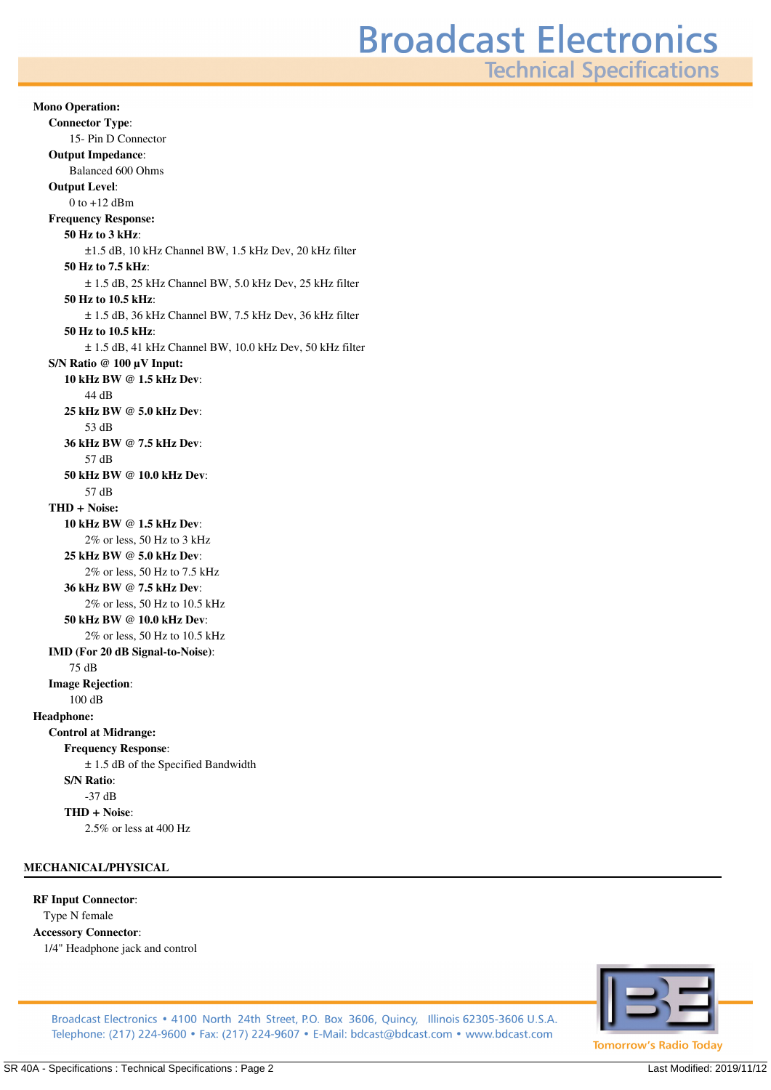**Technical Specifications** 

**Mono Operation: Connector Type***: 15- Pin D Connector* **Output Impedance***: Balanced 600 Ohms* **Output Level***: 0 to +12 dBm* **Frequency Response: 50 Hz to 3 kHz***: ±1.5 dB, 10 kHz Channel BW, 1.5 kHz Dev, 20 kHz filter* **50 Hz to 7.5 kHz***: ± 1.5 dB, 25 kHz Channel BW, 5.0 kHz Dev, 25 kHz filter* **50 Hz to 10.5 kHz***: ± 1.5 dB, 36 kHz Channel BW, 7.5 kHz Dev, 36 kHz filter* **50 Hz to 10.5 kHz***: ± 1.5 dB, 41 kHz Channel BW, 10.0 kHz Dev, 50 kHz filter* **S/N Ratio @ 100 µV Input: 10 kHz BW @ 1.5 kHz Dev***: 44 dB* **25 kHz BW @ 5.0 kHz Dev***: 53 dB* **36 kHz BW @ 7.5 kHz Dev***: 57 dB* **50 kHz BW @ 10.0 kHz Dev***: 57 dB* **THD + Noise: 10 kHz BW @ 1.5 kHz Dev***: 2% or less, 50 Hz to 3 kHz* **25 kHz BW @ 5.0 kHz Dev***: 2% or less, 50 Hz to 7.5 kHz* **36 kHz BW @ 7.5 kHz Dev***: 2% or less, 50 Hz to 10.5 kHz* **50 kHz BW @ 10.0 kHz Dev***: 2% or less, 50 Hz to 10.5 kHz* **IMD (For 20 dB Signal-to-Noise)***: 75 dB* **Image Rejection***: 100 dB* **Headphone: Control at Midrange: Frequency Response***: ± 1.5 dB of the Specified Bandwidth* **S/N Ratio***: -37 dB* **THD + Noise***: 2.5% or less at 400 Hz*

## **MECHANICAL/PHYSICAL**

#### **RF Input Connector***:*

*Type N female* **Accessory Connector***: 1/4" Headphone jack and control*



Broadcast Electronics • 4100 North 24th Street, P.O. Box 3606, Quincy, Illinois 62305-3606 U.S.A. Telephone: (217) 224-9600 • Fax: (217) 224-9607 • E-Mail: bdcast@bdcast.com • www.bdcast.com